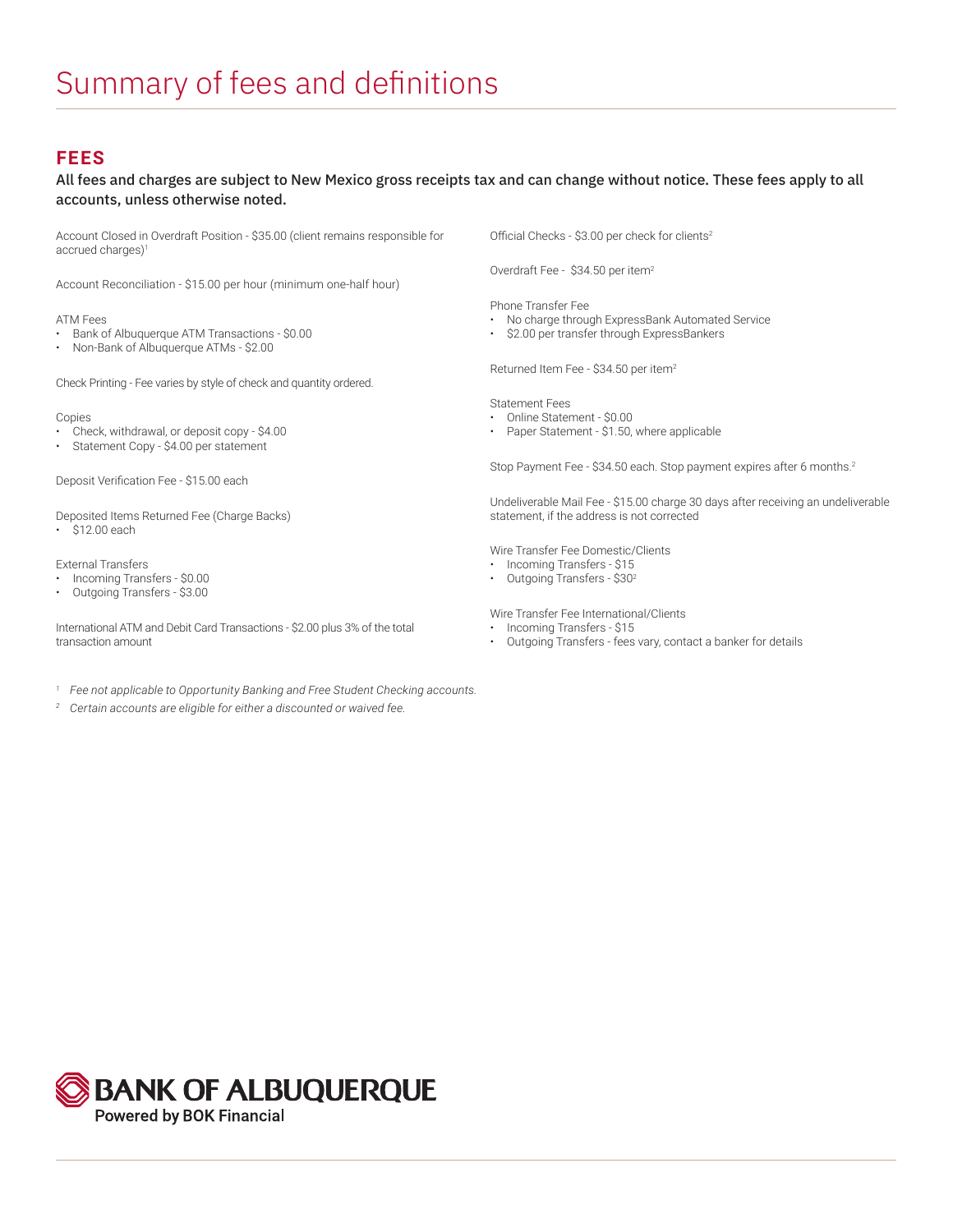## **FEES**

### All fees and charges are subject to New Mexico gross receipts tax and can change without notice. These fees apply to all accounts, unless otherwise noted.

Account Closed in Overdraft Position - \$35.00 (client remains responsible for accrued charges)<sup>1</sup>

Account Reconciliation - \$15.00 per hour (minimum one-half hour)

#### ATM Fees

- Bank of Albuquerque ATM Transactions \$0.00
- Non-Bank of Albuquerque ATMs \$2.00

Check Printing - Fee varies by style of check and quantity ordered.

#### Copies

- Check, withdrawal, or deposit copy \$4.00
- Statement Copy \$4.00 per statement

Deposit Verification Fee - \$15.00 each

Deposited Items Returned Fee (Charge Backs) • \$12.00 each

#### External Transfers

- Incoming Transfers \$0.00
- Outgoing Transfers \$3.00

International ATM and Debit Card Transactions - \$2.00 plus 3% of the total transaction amount

- *<sup>1</sup> Fee not applicable to Opportunity Banking and Free Student Checking accounts.*
- *<sup>2</sup> Certain accounts are eligible for either a discounted or waived fee.*

Official Checks - \$3.00 per check for clients<sup>2</sup>

Overdraft Fee - \$34.50 per item<sup>2</sup>

Phone Transfer Fee

- No charge through ExpressBank Automated Service
- \$2.00 per transfer through ExpressBankers

Returned Item Fee - \$34.50 per item<sup>2</sup>

Statement Fees

- Online Statement \$0.00
- Paper Statement \$1.50, where applicable

Stop Payment Fee - \$34.50 each. Stop payment expires after 6 months.2

Undeliverable Mail Fee - \$15.00 charge 30 days after receiving an undeliverable statement, if the address is not corrected

Wire Transfer Fee Domestic/Clients

- Incoming Transfers \$15
- Outgoing Transfers \$302

Wire Transfer Fee International/Clients

- Incoming Transfers \$15
- Outgoing Transfers fees vary, contact a banker for details